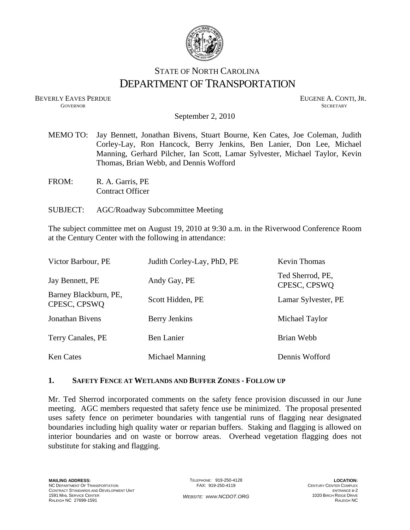

# STATE OF NORTH CAROLINA DEPARTMENT OF TRANSPORTATION

BEVERLY EAVES PERDUE GOVERNOR EUGENE A. CONTI, JR. GOVERNOR SECRETARY

September 2, 2010

- MEMO TO: Jay Bennett, Jonathan Bivens, Stuart Bourne, Ken Cates, Joe Coleman, Judith Corley-Lay, Ron Hancock, Berry Jenkins, Ben Lanier, Don Lee, Michael Manning, Gerhard Pilcher, Ian Scott, Lamar Sylvester, Michael Taylor, Kevin Thomas, Brian Webb, and Dennis Wofford
- FROM: R. A. Garris, PE Contract Officer
- SUBJECT: AGC/Roadway Subcommittee Meeting

The subject committee met on August 19, 2010 at 9:30 a.m. in the Riverwood Conference Room at the Century Center with the following in attendance:

| Victor Barbour, PE                    | Judith Corley-Lay, PhD, PE | Kevin Thomas                     |
|---------------------------------------|----------------------------|----------------------------------|
| Jay Bennett, PE                       | Andy Gay, PE               | Ted Sherrod, PE,<br>CPESC, CPSWQ |
| Barney Blackburn, PE,<br>CPESC, CPSWQ | Scott Hidden, PE           | Lamar Sylvester, PE              |
| Jonathan Bivens                       | Berry Jenkins              | Michael Taylor                   |
| Terry Canales, PE                     | Ben Lanier                 | Brian Webb                       |
| <b>Ken Cates</b>                      | Michael Manning            | Dennis Wofford                   |

#### **1. SAFETY FENCE AT WETLANDS AND BUFFER ZONES - FOLLOW UP**

Mr. Ted Sherrod incorporated comments on the safety fence provision discussed in our June meeting. AGC members requested that safety fence use be minimized. The proposal presented uses safety fence on perimeter boundaries with tangential runs of flagging near designated boundaries including high quality water or reparian buffers. Staking and flagging is allowed on interior boundaries and on waste or borrow areas. Overhead vegetation flagging does not substitute for staking and flagging.

TELEPHONE: 919-250-4128 FAX: 919-250-4119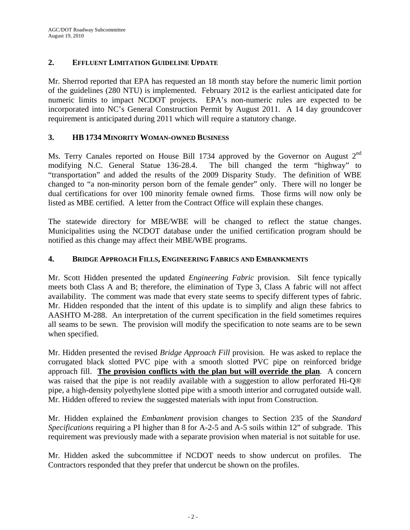# **2. EFFLUENT LIMITATION GUIDELINE UPDATE**

Mr. Sherrod reported that EPA has requested an 18 month stay before the numeric limit portion of the guidelines (280 NTU) is implemented. February 2012 is the earliest anticipated date for numeric limits to impact NCDOT projects. EPA's non-numeric rules are expected to be incorporated into NC's General Construction Permit by August 2011. A 14 day groundcover requirement is anticipated during 2011 which will require a statutory change.

## **3. HB 1734 MINORITY WOMAN-OWNED BUSINESS**

Ms. Terry Canales reported on House Bill 1734 approved by the Governor on August 2<sup>nd</sup> modifying N.C. General Statue 136-28.4. The bill changed the term "highway" to "transportation" and added the results of the 2009 Disparity Study. The definition of WBE changed to "a non-minority person born of the female gender" only. There will no longer be dual certifications for over 100 minority female owned firms. Those firms will now only be listed as MBE certified. A letter from the Contract Office will explain these changes.

The statewide directory for MBE/WBE will be changed to reflect the statue changes. Municipalities using the NCDOT database under the unified certification program should be notified as this change may affect their MBE/WBE programs.

## **4. BRIDGE APPROACH FILLS, ENGINEERING FABRICS AND EMBANKMENTS**

Mr. Scott Hidden presented the updated *Engineering Fabric* provision. Silt fence typically meets both Class A and B; therefore, the elimination of Type 3, Class A fabric will not affect availability. The comment was made that every state seems to specify different types of fabric. Mr. Hidden responded that the intent of this update is to simplify and align these fabrics to AASHTO M-288. An interpretation of the current specification in the field sometimes requires all seams to be sewn. The provision will modify the specification to note seams are to be sewn when specified.

Mr. Hidden presented the revised *Bridge Approach Fill* provision. He was asked to replace the corrugated black slotted PVC pipe with a smooth slotted PVC pipe on reinforced bridge approach fill. **The provision conflicts with the plan but will override the plan**. A concern was raised that the pipe is not readily available with a suggestion to allow perforated Hi-Q® pipe, a high-density polyethylene slotted pipe with a smooth interior and corrugated outside wall. Mr. Hidden offered to review the suggested materials with input from Construction.

Mr. Hidden explained the *Embankment* provision changes to Section 235 of the *Standard Specifications* requiring a PI higher than 8 for A-2-5 and A-5 soils within 12" of subgrade. This requirement was previously made with a separate provision when material is not suitable for use.

Mr. Hidden asked the subcommittee if NCDOT needs to show undercut on profiles. The Contractors responded that they prefer that undercut be shown on the profiles.